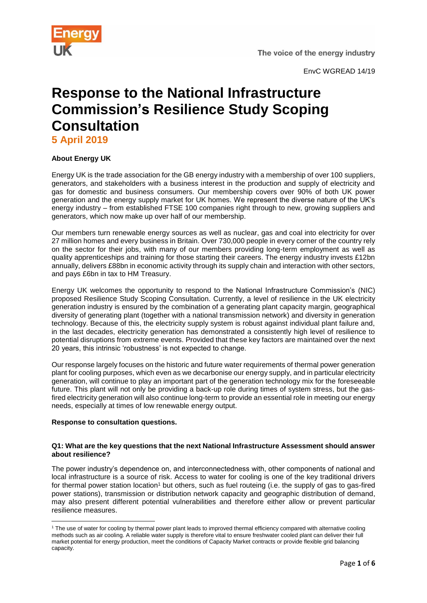

The voice of the energy industry

EnvC WGREAD 14/19

# **Response to the National Infrastructure Commission's Resilience Study Scoping Consultation**

**5 April 2019**

# **About Energy UK**

Energy UK is the trade association for the GB energy industry with a membership of over 100 suppliers, generators, and stakeholders with a business interest in the production and supply of electricity and gas for domestic and business consumers. Our membership covers over 90% of both UK power generation and the energy supply market for UK homes. We represent the diverse nature of the UK's energy industry – from established FTSE 100 companies right through to new, growing suppliers and generators, which now make up over half of our membership.

Our members turn renewable energy sources as well as nuclear, gas and coal into electricity for over 27 million homes and every business in Britain. Over 730,000 people in every corner of the country rely on the sector for their jobs, with many of our members providing long-term employment as well as quality apprenticeships and training for those starting their careers. The energy industry invests £12bn annually, delivers £88bn in economic activity through its supply chain and interaction with other sectors, and pays £6bn in tax to HM Treasury.

Energy UK welcomes the opportunity to respond to the National Infrastructure Commission's (NIC) proposed Resilience Study Scoping Consultation. Currently, a level of resilience in the UK electricity generation industry is ensured by the combination of a generating plant capacity margin, geographical diversity of generating plant (together with a national transmission network) and diversity in generation technology. Because of this, the electricity supply system is robust against individual plant failure and, in the last decades, electricity generation has demonstrated a consistently high level of resilience to potential disruptions from extreme events. Provided that these key factors are maintained over the next 20 years, this intrinsic 'robustness' is not expected to change.

Our response largely focuses on the historic and future water requirements of thermal power generation plant for cooling purposes, which even as we decarbonise our energy supply, and in particular electricity generation, will continue to play an important part of the generation technology mix for the foreseeable future. This plant will not only be providing a back-up role during times of system stress, but the gasfired electricity generation will also continue long-term to provide an essential role in meeting our energy needs, especially at times of low renewable energy output.

### **Response to consultation questions.**

 $\overline{\phantom{a}}$ 

### **Q1: What are the key questions that the next National Infrastructure Assessment should answer about resilience?**

The power industry's dependence on, and interconnectedness with, other components of national and local infrastructure is a source of risk. Access to water for cooling is one of the key traditional drivers for thermal power station location<sup>1</sup> but others, such as fuel routeing (i.e. the supply of gas to gas-fired power stations), transmission or distribution network capacity and geographic distribution of demand, may also present different potential vulnerabilities and therefore either allow or prevent particular resilience measures.

<sup>1</sup> The use of water for cooling by thermal power plant leads to improved thermal efficiency compared with alternative cooling methods such as air cooling. A reliable water supply is therefore vital to ensure freshwater cooled plant can deliver their full market potential for energy production, meet the conditions of Capacity Market contracts or provide flexible grid balancing capacity.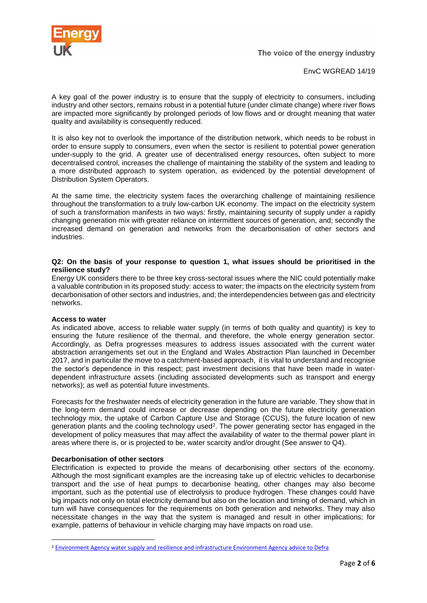

EnvC WGREAD 14/19

A key goal of the power industry is to ensure that the supply of electricity to consumers, including industry and other sectors, remains robust in a potential future (under climate change) where river flows are impacted more significantly by prolonged periods of low flows and or drought meaning that water quality and availability is consequently reduced.

It is also key not to overlook the importance of the distribution network, which needs to be robust in order to ensure supply to consumers, even when the sector is resilient to potential power generation under-supply to the grid. A greater use of decentralised energy resources, often subject to more decentralised control, increases the challenge of maintaining the stability of the system and leading to a more distributed approach to system operation, as evidenced by the potential development of Distribution System Operators.

At the same time, the electricity system faces the overarching challenge of maintaining resilience throughout the transformation to a truly low-carbon UK economy. The impact on the electricity system of such a transformation manifests in two ways: firstly, maintaining security of supply under a rapidly changing generation mix with greater reliance on intermittent sources of generation, and; secondly the increased demand on generation and networks from the decarbonisation of other sectors and industries.

### **Q2: On the basis of your response to question 1, what issues should be prioritised in the resilience study?**

Energy UK considers there to be three key cross-sectoral issues where the NIC could potentially make a valuable contribution in its proposed study: access to water; the impacts on the electricity system from decarbonisation of other sectors and industries, and; the interdependencies between gas and electricity networks.

### **Access to water**

1

As indicated above, access to reliable water supply (in terms of both quality and quantity) is key to ensuring the future resilience of the thermal, and therefore, the whole energy generation sector. Accordingly, as Defra progresses measures to address issues associated with the current water abstraction arrangements set out in the England and Wales Abstraction Plan launched in December 2017, and in particular the move to a catchment-based approach, it is vital to understand and recognise the sector's dependence in this respect; past investment decisions that have been made in waterdependent infrastructure assets (including associated developments such as transport and energy networks); as well as potential future investments.

Forecasts for the freshwater needs of electricity generation in the future are variable. They show that in the long-term demand could increase or decrease depending on the future electricity generation technology mix, the uptake of Carbon Capture Use and Storage (CCUS), the future location of new generation plants and the cooling technology used<sup>2</sup>. The power generating sector has engaged in the development of policy measures that may affect the availability of water to the thermal power plant in areas where there is, or is projected to be, water scarcity and/or drought (See answer to Q4).

### **Decarbonisation of other sectors**

Electrification is expected to provide the means of decarbonising other sectors of the economy. Although the most significant examples are the increasing take up of electric vehicles to decarbonise transport and the use of heat pumps to decarbonise heating, other changes may also become important, such as the potential use of electrolysis to produce hydrogen. These changes could have big impacts not only on total electricity demand but also on the location and timing of demand, which in turn will have consequences for the requirements on both generation and networks. They may also necessitate changes in the way that the system is managed and result in other implications; for example, patterns of behaviour in vehicle charging may have impacts on road use.

<sup>&</sup>lt;sup>2</sup> [Environment Agency water supply and resilience and infrastructure Environment Agency advice to Defra](https://assets.publishing.service.gov.uk/government/uploads/system/uploads/attachment_data/file/504682/ea-analysis-water-sector.pdf)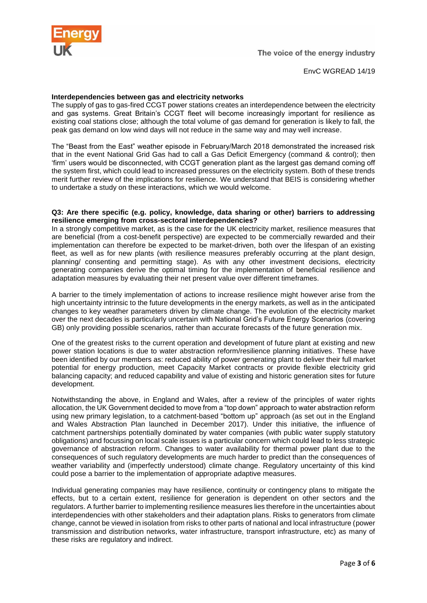

# **Interdependencies between gas and electricity networks**

The supply of gas to gas-fired CCGT power stations creates an interdependence between the electricity and gas systems. Great Britain's CCGT fleet will become increasingly important for resilience as existing coal stations close; although the total volume of gas demand for generation is likely to fall, the peak gas demand on low wind days will not reduce in the same way and may well increase.

The "Beast from the East" weather episode in February/March 2018 demonstrated the increased risk that in the event National Grid Gas had to call a Gas Deficit Emergency (command & control); then 'firm' users would be disconnected, with CCGT generation plant as the largest gas demand coming off the system first, which could lead to increased pressures on the electricity system. Both of these trends merit further review of the implications for resilience. We understand that BEIS is considering whether to undertake a study on these interactions, which we would welcome.

#### **Q3: Are there specific (e.g. policy, knowledge, data sharing or other) barriers to addressing resilience emerging from cross-sectoral interdependencies?**

In a strongly competitive market, as is the case for the UK electricity market, resilience measures that are beneficial (from a cost-benefit perspective) are expected to be commercially rewarded and their implementation can therefore be expected to be market-driven, both over the lifespan of an existing fleet, as well as for new plants (with resilience measures preferably occurring at the plant design, planning/ consenting and permitting stage). As with any other investment decisions, electricity generating companies derive the optimal timing for the implementation of beneficial resilience and adaptation measures by evaluating their net present value over different timeframes.

A barrier to the timely implementation of actions to increase resilience might however arise from the high uncertainty intrinsic to the future developments in the energy markets, as well as in the anticipated changes to key weather parameters driven by climate change. The evolution of the electricity market over the next decades is particularly uncertain with National Grid's Future Energy Scenarios (covering GB) only providing possible scenarios, rather than accurate forecasts of the future generation mix.

One of the greatest risks to the current operation and development of future plant at existing and new power station locations is due to water abstraction reform/resilience planning initiatives. These have been identified by our members as: reduced ability of power generating plant to deliver their full market potential for energy production, meet Capacity Market contracts or provide flexible electricity grid balancing capacity; and reduced capability and value of existing and historic generation sites for future development.

Notwithstanding the above, in England and Wales, after a review of the principles of water rights allocation, the UK Government decided to move from a "top down" approach to water abstraction reform using new primary legislation, to a catchment-based "bottom up" approach (as set out in the England and Wales Abstraction Plan launched in December 2017). Under this initiative, the influence of catchment partnerships potentially dominated by water companies (with public water supply statutory obligations) and focussing on local scale issues is a particular concern which could lead to less strategic governance of abstraction reform. Changes to water availability for thermal power plant due to the consequences of such regulatory developments are much harder to predict than the consequences of weather variability and (imperfectly understood) climate change. Regulatory uncertainty of this kind could pose a barrier to the implementation of appropriate adaptive measures.

Individual generating companies may have resilience, continuity or contingency plans to mitigate the effects, but to a certain extent, resilience for generation is dependent on other sectors and the regulators. A further barrier to implementing resilience measures lies therefore in the uncertainties about interdependencies with other stakeholders and their adaptation plans. Risks to generators from climate change, cannot be viewed in isolation from risks to other parts of national and local infrastructure (power transmission and distribution networks, water infrastructure, transport infrastructure, etc) as many of these risks are regulatory and indirect.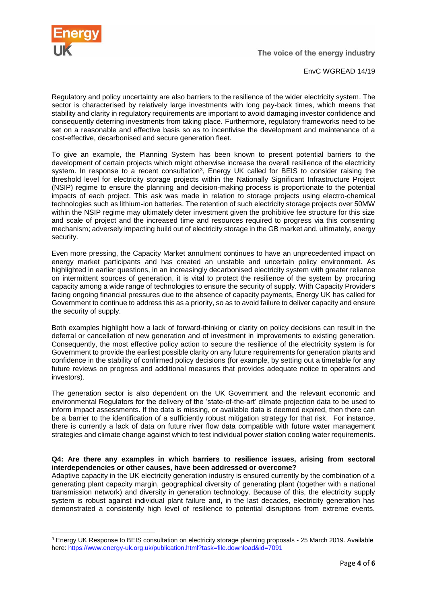

1

EnvC WGREAD 14/19

Regulatory and policy uncertainty are also barriers to the resilience of the wider electricity system. The sector is characterised by relatively large investments with long pay-back times, which means that stability and clarity in regulatory requirements are important to avoid damaging investor confidence and consequently deterring investments from taking place. Furthermore, regulatory frameworks need to be set on a reasonable and effective basis so as to incentivise the development and maintenance of a cost-effective, decarbonised and secure generation fleet.

To give an example, the Planning System has been known to present potential barriers to the development of certain projects which might otherwise increase the overall resilience of the electricity system. In response to a recent consultation<sup>3</sup>, Energy UK called for BEIS to consider raising the threshold level for electricity storage projects within the Nationally Significant Infrastructure Project (NSIP) regime to ensure the planning and decision-making process is proportionate to the potential impacts of each project. This ask was made in relation to storage projects using electro-chemical technologies such as lithium-ion batteries. The retention of such electricity storage projects over 50MW within the NSIP regime may ultimately deter investment given the prohibitive fee structure for this size and scale of project and the increased time and resources required to progress via this consenting mechanism; adversely impacting build out of electricity storage in the GB market and, ultimately, energy security.

Even more pressing, the Capacity Market annulment continues to have an unprecedented impact on energy market participants and has created an unstable and uncertain policy environment. As highlighted in earlier questions, in an increasingly decarbonised electricity system with greater reliance on intermittent sources of generation, it is vital to protect the resilience of the system by procuring capacity among a wide range of technologies to ensure the security of supply. With Capacity Providers facing ongoing financial pressures due to the absence of capacity payments, Energy UK has called for Government to continue to address this as a priority, so as to avoid failure to deliver capacity and ensure the security of supply.

Both examples highlight how a lack of forward-thinking or clarity on policy decisions can result in the deferral or cancellation of new generation and of investment in improvements to existing generation. Consequently, the most effective policy action to secure the resilience of the electricity system is for Government to provide the earliest possible clarity on any future requirements for generation plants and confidence in the stability of confirmed policy decisions (for example, by setting out a timetable for any future reviews on progress and additional measures that provides adequate notice to operators and investors).

The generation sector is also dependent on the UK Government and the relevant economic and environmental Regulators for the delivery of the 'state-of-the-art' climate projection data to be used to inform impact assessments. If the data is missing, or available data is deemed expired, then there can be a barrier to the identification of a sufficiently robust mitigation strategy for that risk. For instance, there is currently a lack of data on future river flow data compatible with future water management strategies and climate change against which to test individual power station cooling water requirements.

# **Q4: Are there any examples in which barriers to resilience issues, arising from sectoral interdependencies or other causes, have been addressed or overcome?**

Adaptive capacity in the UK electricity generation industry is ensured currently by the combination of a generating plant capacity margin, geographical diversity of generating plant (together with a national transmission network) and diversity in generation technology. Because of this, the electricity supply system is robust against individual plant failure and, in the last decades, electricity generation has demonstrated a consistently high level of resilience to potential disruptions from extreme events.

<sup>3</sup> Energy UK Response to BEIS consultation on electricity storage planning proposals - 25 March 2019. Available here:<https://www.energy-uk.org.uk/publication.html?task=file.download&id=7091>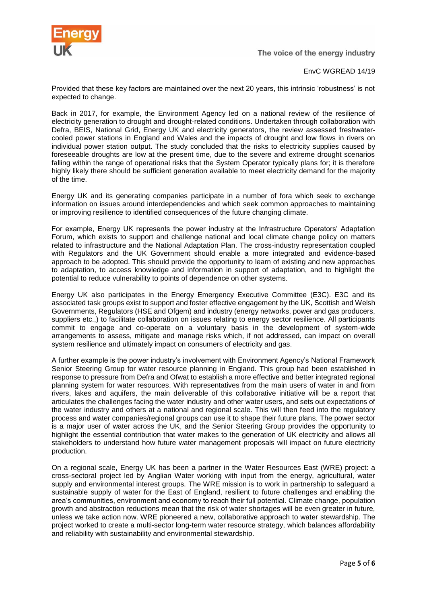

The voice of the energy industry

# EnvC WGREAD 14/19

Provided that these key factors are maintained over the next 20 years, this intrinsic 'robustness' is not expected to change.

Back in 2017, for example, the Environment Agency led on a national review of the resilience of electricity generation to drought and drought-related conditions. Undertaken through collaboration with Defra, BEIS, National Grid, Energy UK and electricity generators, the review assessed freshwatercooled power stations in England and Wales and the impacts of drought and low flows in rivers on individual power station output. The study concluded that the risks to electricity supplies caused by foreseeable droughts are low at the present time, due to the severe and extreme drought scenarios falling within the range of operational risks that the System Operator typically plans for; it is therefore highly likely there should be sufficient generation available to meet electricity demand for the majority of the time.

Energy UK and its generating companies participate in a number of fora which seek to exchange information on issues around interdependencies and which seek common approaches to maintaining or improving resilience to identified consequences of the future changing climate.

For example, Energy UK represents the power industry at the Infrastructure Operators' Adaptation Forum, which exists to support and challenge national and local climate change policy on matters related to infrastructure and the National Adaptation Plan. The cross-industry representation coupled with Regulators and the UK Government should enable a more integrated and evidence-based approach to be adopted. This should provide the opportunity to learn of existing and new approaches to adaptation, to access knowledge and information in support of adaptation, and to highlight the potential to reduce vulnerability to points of dependence on other systems.

Energy UK also participates in the Energy Emergency Executive Committee (E3C). E3C and its associated task groups exist to support and foster effective engagement by the UK, Scottish and Welsh Governments, Regulators (HSE and Ofgem) and industry (energy networks, power and gas producers, suppliers etc.,) to facilitate collaboration on issues relating to energy sector resilience. All participants commit to engage and co-operate on a voluntary basis in the development of system-wide arrangements to assess, mitigate and manage risks which, if not addressed, can impact on overall system resilience and ultimately impact on consumers of electricity and gas.

A further example is the power industry's involvement with Environment Agency's National Framework Senior Steering Group for water resource planning in England. This group had been established in response to pressure from Defra and Ofwat to establish a more effective and better integrated regional planning system for water resources. With representatives from the main users of water in and from rivers, lakes and aquifers, the main deliverable of this collaborative initiative will be a report that articulates the challenges facing the water industry and other water users, and sets out expectations of the water industry and others at a national and regional scale. This will then feed into the regulatory process and water companies/regional groups can use it to shape their future plans. The power sector is a major user of water across the UK, and the Senior Steering Group provides the opportunity to highlight the essential contribution that water makes to the generation of UK electricity and allows all stakeholders to understand how future water management proposals will impact on future electricity production.

On a regional scale, Energy UK has been a partner in the Water Resources East (WRE) project: a cross-sectoral project led by Anglian Water working with input from the energy, agricultural, water supply and environmental interest groups. The WRE mission is to work in partnership to safeguard a sustainable supply of water for the East of England, resilient to future challenges and enabling the area's communities, environment and economy to reach their full potential. Climate change, population growth and abstraction reductions mean that the risk of water shortages will be even greater in future, unless we take action now. WRE pioneered a new, collaborative approach to water stewardship. The project worked to create a multi-sector long-term water resource strategy, which balances affordability and reliability with sustainability and environmental stewardship.